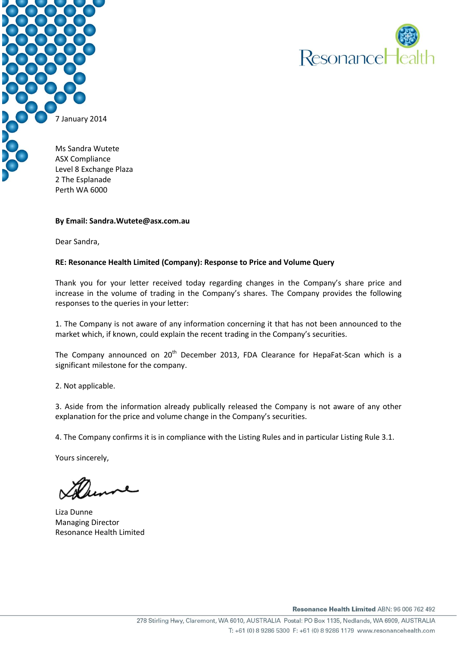



Level 8 Exchange Plaza 2 The Esplanade Perth WA 6000

#### **By Email: Sandra.Wutete@asx.com.au**

Dear Sandra,

#### **RE: Resonance Health Limited (Company): Response to Price and Volume Query**

Thank you for your letter received today regarding changes in the Company's share price and increase in the volume of trading in the Company's shares. The Company provides the following responses to the queries in your letter:

1. The Company is not aware of any information concerning it that has not been announced to the market which, if known, could explain the recent trading in the Company's securities.

The Company announced on 20<sup>th</sup> December 2013, FDA Clearance for HepaFat-Scan which is a significant milestone for the company.

2. Not applicable.

3. Aside from the information already publically released the Company is not aware of any other explanation for the price and volume change in the Company's securities.

4. The Company confirms it is in compliance with the Listing Rules and in particular Listing Rule 3.1.

Yours sincerely,

Liza Dunne Managing Director Resonance Health Limited

Resonance Health Limited ABN: 96 006 762 492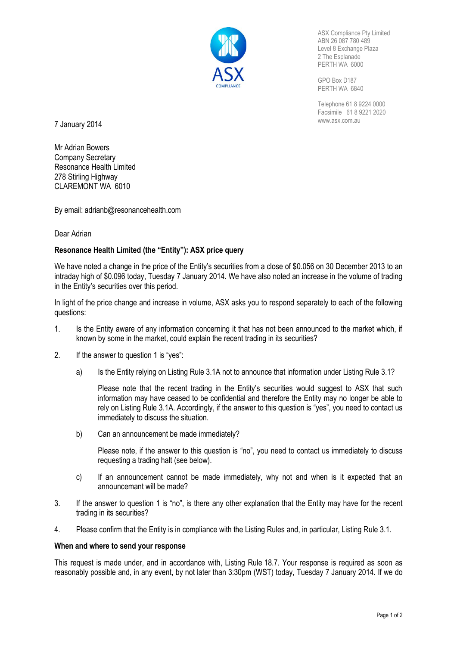

ASX Compliance Pty Limited ABN 26 087 780 489 Level 8 Exchange Plaza 2 The Esplanade PERTH WA 6000

GPO Box D187 PERTH WA 6840

Telephone 61 8 9224 0000 Facsimile 61 8 9221 2020

**7 January 2014** WWW.asx.com.au **7** 

Mr Adrian Bowers Company Secretary Resonance Health Limited 278 Stirling Highway CLAREMONT WA 6010

By email: adrianb@resonancehealth.com

#### Dear Adrian

## **Resonance Health Limited (the "Entity"): ASX price query**

We have noted a change in the price of the Entity's securities from a close of \$0.056 on 30 December 2013 to an intraday high of \$0.096 today, Tuesday 7 January 2014. We have also noted an increase in the volume of trading in the Entity's securities over this period.

In light of the price change and increase in volume, ASX asks you to respond separately to each of the following questions:

- 1. Is the Entity aware of any information concerning it that has not been announced to the market which, if known by some in the market, could explain the recent trading in its securities?
- 2. If the answer to question 1 is "yes":
	- a) Is the Entity relying on Listing Rule 3.1A not to announce that information under Listing Rule 3.1?

Please note that the recent trading in the Entity's securities would suggest to ASX that such information may have ceased to be confidential and therefore the Entity may no longer be able to rely on Listing Rule 3.1A. Accordingly, if the answer to this question is "yes", you need to contact us immediately to discuss the situation.

b) Can an announcement be made immediately?

Please note, if the answer to this question is "no", you need to contact us immediately to discuss requesting a trading halt (see below).

- c) If an announcement cannot be made immediately, why not and when is it expected that an announcemant will be made?
- 3. If the answer to question 1 is "no", is there any other explanation that the Entity may have for the recent trading in its securities?
- 4. Please confirm that the Entity is in compliance with the Listing Rules and, in particular, Listing Rule 3.1.

#### **When and where to send your response**

This request is made under, and in accordance with, Listing Rule 18.7. Your response is required as soon as reasonably possible and, in any event, by not later than 3:30pm (WST) today, Tuesday 7 January 2014. If we do